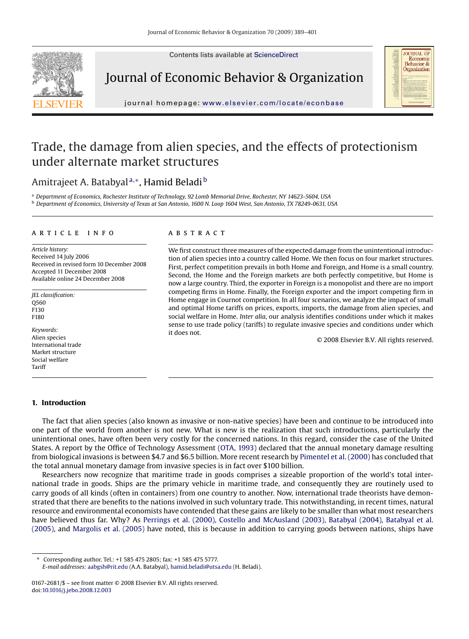Contents lists available at [ScienceDirect](http://www.sciencedirect.com/science/journal/01672681)



Journal of Economic Behavior & Organization



journal homepage: [www.elsevier.com/locate/econbase](http://www.elsevier.com/locate/econbase)

## Trade, the damage from alien species, and the effects of protectionism under alternate market structures

### Amitrajeet A. Batabyal<sup>a,∗</sup>, Hamid Beladi<sup>b</sup>

<sup>a</sup> *Department of Economics, Rochester Institute of Technology, 92 Lomb Memorial Drive, Rochester, NY 14623-5604, USA* <sup>b</sup> *Department of Economics, University of Texas at San Antonio, 1600 N. Loop 1604 West, San Antonio, TX 78249-0631, USA*

#### article info

*Article history:* Received 14 July 2006 Received in revised form 10 December 2008 Accepted 11 December 2008 Available online 24 December 2008

*JEL classification:* Q560 F130 F180

*Keywords:* Alien species International trade Market structure Social welfare Tariff

#### **ABSTRACT**

We first construct three measures of the expected damage from the unintentional introduction of alien species into a country called Home. We then focus on four market structures. First, perfect competition prevails in both Home and Foreign, and Home is a small country. Second, the Home and the Foreign markets are both perfectly competitive, but Home is now a large country. Third, the exporter in Foreign is a monopolist and there are no import competing firms in Home. Finally, the Foreign exporter and the import competing firm in Home engage in Cournot competition. In all four scenarios, we analyze the impact of small and optimal Home tariffs on prices, exports, imports, the damage from alien species, and social welfare in Home. *Inter alia*, our analysis identifies conditions under which it makes sense to use trade policy (tariffs) to regulate invasive species and conditions under which it does not.

© 2008 Elsevier B.V. All rights reserved.

#### **1. Introduction**

The fact that alien species (also known as invasive or non-native species) have been and continue to be introduced into one part of the world from another is not new. What is new is the realization that such introductions, particularly the unintentional ones, have often been very costly for the concerned nations. In this regard, consider the case of the United States. A report by the Office of Technology Assessment ([OTA, 1993\)](#page--1-0) declared that the annual monetary damage resulting from biological invasions is between \$4.7 and \$6.5 billion. More recent research by [Pimentel et al. \(2000\)](#page--1-0) has concluded that the total annual monetary damage from invasive species is in fact over \$100 billion.

Researchers now recognize that maritime trade in goods comprises a sizeable proportion of the world's total international trade in goods. Ships are the primary vehicle in maritime trade, and consequently they are routinely used to carry goods of all kinds (often in containers) from one country to another. Now, international trade theorists have demonstrated that there are benefits to the nations involved in such voluntary trade. This notwithstanding, in recent times, natural resource and environmental economists have contended that these gains are likely to be smaller than what most researchers have believed thus far. Why? As [Perrings et al. \(2000\),](#page--1-0) [Costello and McAusland \(2003\),](#page--1-0) [Batabyal \(2004\),](#page--1-0) [Batabyal et al.](#page--1-0) [\(2005\), a](#page--1-0)nd [Margolis et al. \(2005\)](#page--1-0) have noted, this is because in addition to carrying goods between nations, ships have

∗ Corresponding author. Tel.: +1 585 475 2805; fax: +1 585 475 5777.

*E-mail addresses:* [aabgsh@rit.edu](mailto:aabgsh@rit.edu) (A.A. Batabyal), [hamid.beladi@utsa.edu](mailto:hamid.beladi@utsa.edu) (H. Beladi).

<sup>0167-2681/\$ –</sup> see front matter © 2008 Elsevier B.V. All rights reserved. doi:[10.1016/j.jebo.2008.12.003](dx.doi.org/10.1016/j.jebo.2008.12.003)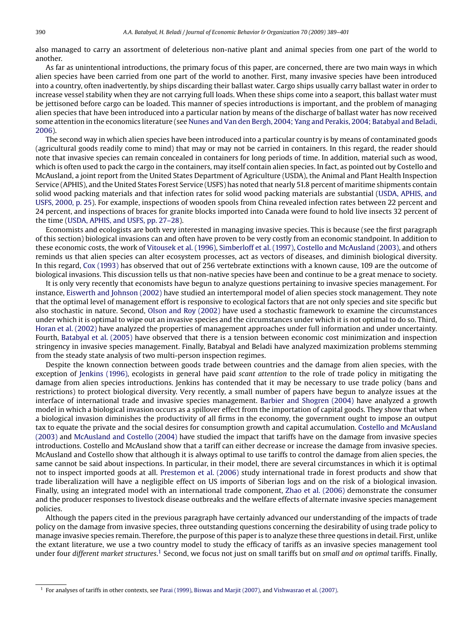also managed to carry an assortment of deleterious non-native plant and animal species from one part of the world to another.

As far as unintentional introductions, the primary focus of this paper, are concerned, there are two main ways in which alien species have been carried from one part of the world to another. First, many invasive species have been introduced into a country, often inadvertently, by ships discarding their ballast water. Cargo ships usually carry ballast water in order to increase vessel stability when they are not carrying full loads. When these ships come into a seaport, this ballast water must be jettisoned before cargo can be loaded. This manner of species introductions is important, and the problem of managing alien species that have been introduced into a particular nation by means of the discharge of ballast water has now received some attention in the economics literature (see [Nunes and Van den Bergh, 2004; Yang and Perakis, 2004; Batabyal and Beladi,](#page--1-0) [2006\).](#page--1-0)

The second way in which alien species have been introduced into a particular country is by means of contaminated goods (agricultural goods readily come to mind) that may or may not be carried in containers. In this regard, the reader should note that invasive species can remain concealed in containers for long periods of time. In addition, material such as wood, which is often used to pack the cargo in the containers, may itself contain alien species. In fact, as pointed out by Costello and McAusland, a joint report from the United States Department of Agriculture (USDA), the Animal and Plant Health Inspection Service (APHIS), and the United States Forest Service (USFS) has noted that nearly 51.8 percent of maritime shipments contain solid wood packing materials and that infection rates for solid wood packing materials are substantial [\(USDA, APHIS, and](#page--1-0) [USFS, 2000, p. 25\).](#page--1-0) For example, inspections of wooden spools from China revealed infection rates between 22 percent and 24 percent, and inspections of braces for granite blocks imported into Canada were found to hold live insects 32 percent of the time ([USDA, APHIS, and USFS, pp. 27–28\).](#page--1-0)

Economists and ecologists are both very interested in managing invasive species. This is because (see the first paragraph of this section) biological invasions can and often have proven to be very costly from an economic standpoint. In addition to these economic costs, the work of [Vitousek et al. \(1996\),](#page--1-0) [Simberloff et al. \(1997\),](#page--1-0) [Costello and McAusland \(2003\), a](#page--1-0)nd others reminds us that alien species can alter ecosystem processes, act as vectors of diseases, and diminish biological diversity. In this regard, [Cox \(1993\)](#page--1-0) has observed that out of 256 vertebrate extinctions with a known cause, 109 are the outcome of biological invasions. This discussion tells us that non-native species have been and continue to be a great menace to society.

It is only very recently that economists have begun to analyze questions pertaining to invasive species management. For instance, [Eiswerth and Johnson \(2002\)](#page--1-0) have studied an intertemporal model of alien species stock management. They note that the optimal level of management effort is responsive to ecological factors that are not only species and site specific but also stochastic in nature. Second, [Olson and Roy \(2002\)](#page--1-0) have used a stochastic framework to examine the circumstances under which it is optimal to wipe out an invasive species and the circumstances under which it is not optimal to do so. Third, [Horan et al. \(2002\)](#page--1-0) have analyzed the properties of management approaches under full information and under uncertainty. Fourth, [Batabyal et al. \(2005\)](#page--1-0) have observed that there is a tension between economic cost minimization and inspection stringency in invasive species management. Finally, Batabyal and Beladi have analyzed maximization problems stemming from the steady state analysis of two multi-person inspection regimes.

Despite the known connection between goods trade between countries and the damage from alien species, with the exception of [Jenkins \(1996\),](#page--1-0) ecologists in general have paid *scant attention* to the role of trade policy in mitigating the damage from alien species introductions. Jenkins has contended that it may be necessary to use trade policy (bans and restrictions) to protect biological diversity. Very recently, a small number of papers have begun to analyze issues at the interface of international trade and invasive species management. [Barbier and Shogren \(2004\)](#page--1-0) have analyzed a growth model in which a biological invasion occurs as a spillover effect from the importation of capital goods. They show that when a biological invasion diminishes the productivity of all firms in the economy, the government ought to impose an output tax to equate the private and the social desires for consumption growth and capital accumulation. [Costello and McAusland](#page--1-0) [\(2003\)](#page--1-0) and [McAusland and Costello \(2004\)](#page--1-0) have studied the impact that tariffs have on the damage from invasive species introductions. Costello and McAusland show that a tariff can either decrease or increase the damage from invasive species. McAusland and Costello show that although it is always optimal to use tariffs to control the damage from alien species, the same cannot be said about inspections. In particular, in their model, there are several circumstances in which it is optimal not to inspect imported goods at all. [Prestemon et al. \(2006\)](#page--1-0) study international trade in forest products and show that trade liberalization will have a negligible effect on US imports of Siberian logs and on the risk of a biological invasion. Finally, using an integrated model with an international trade component, [Zhao et al. \(2006\)](#page--1-0) demonstrate the consumer and the producer responses to livestock disease outbreaks and the welfare effects of alternate invasive species management policies.

Although the papers cited in the previous paragraph have certainly advanced our understanding of the impacts of trade policy on the damage from invasive species, three outstanding questions concerning the desirability of using trade policy to manage invasive species remain. Therefore, the purpose of this paper is to analyze these three questions in detail. First, unlike the extant literature, we use a two country model to study the efficacy of tariffs as an invasive species management tool under four *different market structures*. <sup>1</sup> Second, we focus not just on small tariffs but on *small and on optimal* tariffs. Finally,

<sup>1</sup> For analyses of tariffs in other contexts, see [Parai \(1999\),](#page--1-0) [Biswas and Marjit \(2007\), a](#page--1-0)nd [Vishwasrao et al. \(2007\).](#page--1-0)